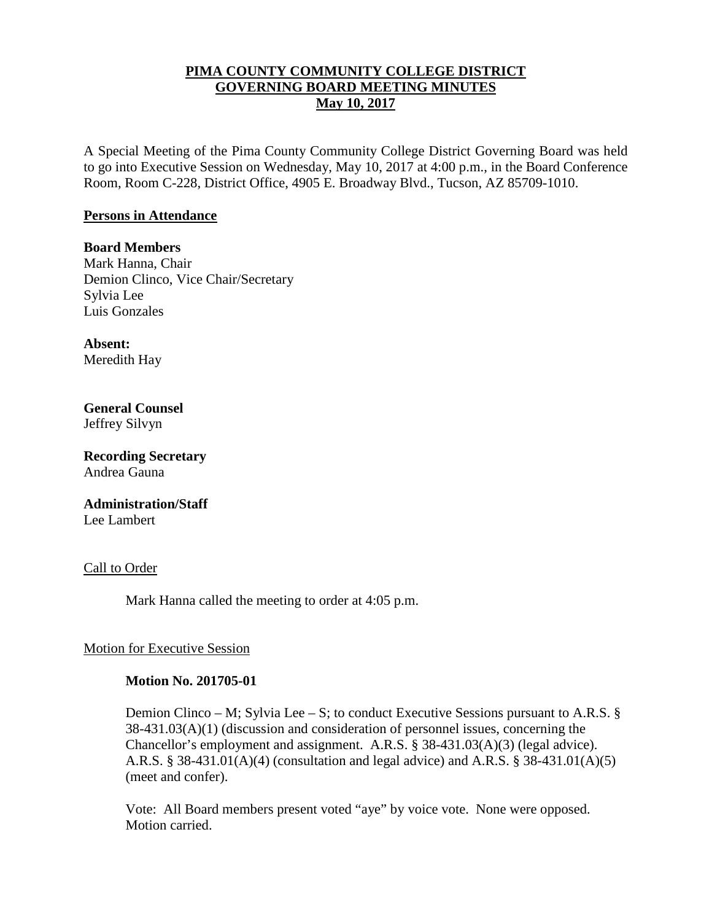## **PIMA COUNTY COMMUNITY COLLEGE DISTRICT GOVERNING BOARD MEETING MINUTES May 10, 2017**

A Special Meeting of the Pima County Community College District Governing Board was held to go into Executive Session on Wednesday, May 10, 2017 at 4:00 p.m., in the Board Conference Room, Room C-228, District Office, 4905 E. Broadway Blvd., Tucson, AZ 85709-1010.

### **Persons in Attendance**

**Board Members** Mark Hanna, Chair Demion Clinco, Vice Chair/Secretary Sylvia Lee Luis Gonzales

**Absent:** Meredith Hay

**General Counsel**  Jeffrey Silvyn

**Recording Secretary** Andrea Gauna

**Administration/Staff** Lee Lambert

Call to Order

Mark Hanna called the meeting to order at 4:05 p.m.

## Motion for Executive Session

#### **Motion No. 201705-01**

Demion Clinco – M; Sylvia Lee – S; to conduct Executive Sessions pursuant to A.R.S. § 38-431.03(A)(1) (discussion and consideration of personnel issues, concerning the Chancellor's employment and assignment. A.R.S. § 38-431.03(A)(3) (legal advice). A.R.S. § 38-431.01(A)(4) (consultation and legal advice) and A.R.S. § 38-431.01(A)(5) (meet and confer).

Vote: All Board members present voted "aye" by voice vote. None were opposed. Motion carried.